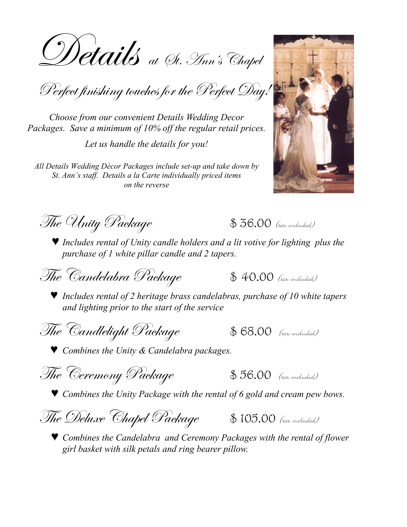Wetails at St. Ann's Chapel

Perfect finishing touches for the Perfect Day.

Choose from our convenient Details Wedding Decor Packages. Save a minimum of 10% off the regular retail prices.

Let us handle the details for you!

All Details Wedding Décor Packages include set-up and take down by St. Ann's staff. Details a la Carte individually priced items on the reverse



The Unity Package

 $$36.00$  (tax included)

 $\blacktriangleright$  Includes rental of Unity candle holders and a lit votive for lighting plus the purchase of 1 white pillar candle and 2 tapers.

The Candelabra Package

 $$40.00$  (tax included)

 $\blacktriangledown$  Includes rental of 2 heritage brass candelabras, purchase of 10 white tapers and lighting prior to the start of the service

The Candlelight Package

 $$68.00$  (tax included)

*V* Combines the Unity & Candelabra packages.

|  | The Ceremony Package |  |
|--|----------------------|--|
|--|----------------------|--|

 $$56.00$  (tax included)

♥ Combines the Unity Package with the rental of 6 gold and cream pew bows.



♥ Combines the Candelabra and Ceremony Packages with the rental of flower girl basket with silk petals and ring bearer pillow.